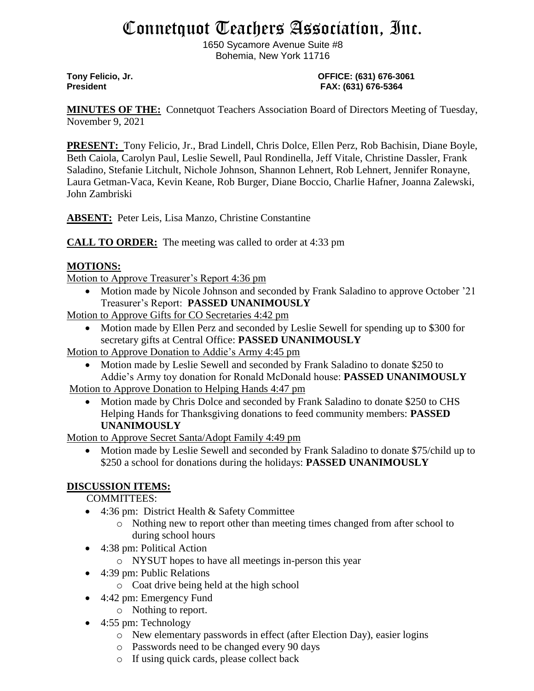# Connetquot Teachers Association, Inc.

1650 Sycamore Avenue Suite #8 Bohemia, New York 11716

#### **Tony Felicio, Jr. OFFICE: (631) 676-3061 President FAX: (631) 676-5364**

**MINUTES OF THE:** Connetquot Teachers Association Board of Directors Meeting of Tuesday, November 9, 2021

**PRESENT:** Tony Felicio, Jr., Brad Lindell, Chris Dolce, Ellen Perz, Rob Bachisin, Diane Boyle, Beth Caiola, Carolyn Paul, Leslie Sewell, Paul Rondinella, Jeff Vitale, Christine Dassler, Frank Saladino, Stefanie Litchult, Nichole Johnson, Shannon Lehnert, Rob Lehnert, Jennifer Ronayne, Laura Getman-Vaca, Kevin Keane, Rob Burger, Diane Boccio, Charlie Hafner, Joanna Zalewski, John Zambriski

**ABSENT:** Peter Leis, Lisa Manzo, Christine Constantine

**CALL TO ORDER:** The meeting was called to order at 4:33 pm

# **MOTIONS:**

Motion to Approve Treasurer's Report 4:36 pm

• Motion made by Nicole Johnson and seconded by Frank Saladino to approve October '21 Treasurer's Report: **PASSED UNANIMOUSLY**

Motion to Approve Gifts for CO Secretaries 4:42 pm

• Motion made by Ellen Perz and seconded by Leslie Sewell for spending up to \$300 for secretary gifts at Central Office: **PASSED UNANIMOUSLY**

Motion to Approve Donation to Addie's Army 4:45 pm

• Motion made by Leslie Sewell and seconded by Frank Saladino to donate \$250 to Addie's Army toy donation for Ronald McDonald house: **PASSED UNANIMOUSLY**

Motion to Approve Donation to Helping Hands 4:47 pm

• Motion made by Chris Dolce and seconded by Frank Saladino to donate \$250 to CHS Helping Hands for Thanksgiving donations to feed community members: **PASSED UNANIMOUSLY**

Motion to Approve Secret Santa/Adopt Family 4:49 pm

• Motion made by Leslie Sewell and seconded by Frank Saladino to donate \$75/child up to \$250 a school for donations during the holidays: **PASSED UNANIMOUSLY**

## **DISCUSSION ITEMS:**

COMMITTEES:

- 4:36 pm: District Health & Safety Committee
	- o Nothing new to report other than meeting times changed from after school to during school hours
- 4:38 pm: Political Action
	- o NYSUT hopes to have all meetings in-person this year
- 4:39 pm: Public Relations
	- o Coat drive being held at the high school
- 4:42 pm: Emergency Fund
	- o Nothing to report.
- 4:55 pm: Technology
	- o New elementary passwords in effect (after Election Day), easier logins
	- o Passwords need to be changed every 90 days
	- o If using quick cards, please collect back